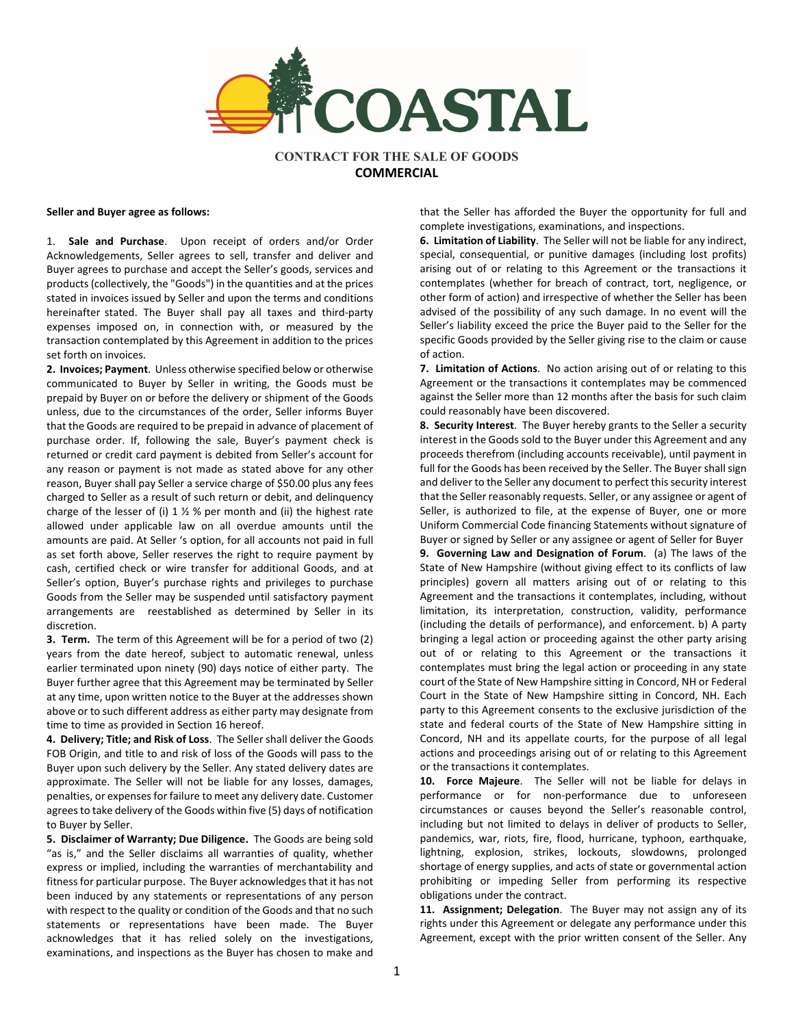

**CONTRACT FOR THE SALE OF GOODS COMMERCIAL**

**Seller and Buyer agree as follows:**

1. **Sale and Purchase**. Upon receipt of orders and/or Order Acknowledgements, Seller agrees to sell, transfer and deliver and Buyer agrees to purchase and accept the Seller's goods, services and products (collectively, the "Goods") in the quantities and at the prices stated in invoices issued by Seller and upon the terms and conditions hereinafter stated. The Buyer shall pay all taxes and third-party expenses imposed on, in connection with, or measured by the transaction contemplated by this Agreement in addition to the prices set forth on invoices.

**2. Invoices; Payment**. Unless otherwise specified below or otherwise communicated to Buyer by Seller in writing, the Goods must be prepaid by Buyer on or before the delivery or shipment of the Goods unless, due to the circumstances of the order, Seller informs Buyer that the Goods are required to be prepaid in advance of placement of purchase order. If, following the sale, Buyer's payment check is returned or credit card payment is debited from Seller's account for any reason or payment is not made as stated above for any other reason, Buyer shall pay Seller a service charge of \$50.00 plus any fees charged to Seller as a result of such return or debit, and delinquency charge of the lesser of (i)  $1 \frac{1}{2}$  % per month and (ii) the highest rate allowed under applicable law on all overdue amounts until the amounts are paid. At Seller 's option, for all accounts not paid in full as set forth above, Seller reserves the right to require payment by cash, certified check or wire transfer for additional Goods, and at Seller's option, Buyer's purchase rights and privileges to purchase Goods from the Seller may be suspended until satisfactory payment arrangements are reestablished as determined by Seller in its discretion.

**3. Term.** The term of this Agreement will be for a period of two (2) years from the date hereof, subject to automatic renewal, unless earlier terminated upon ninety (90) days notice of either party. The Buyer further agree that this Agreement may be terminated by Seller at any time, upon written notice to the Buyer at the addresses shown above or to such different address as either party may designate from time to time as provided in Section 16 hereof.

**4. Delivery; Title; and Risk of Loss**. The Seller shall deliver the Goods FOB Origin, and title to and risk of loss of the Goods will pass to the Buyer upon such delivery by the Seller. Any stated delivery dates are approximate. The Seller will not be liable for any losses, damages, penalties, or expenses for failure to meet any delivery date. Customer agrees to take delivery of the Goods within five (5) days of notification to Buyer by Seller.

**5. Disclaimer of Warranty; Due Diligence.** The Goods are being sold "as is," and the Seller disclaims all warranties of quality, whether express or implied, including the warranties of merchantability and fitness for particular purpose. The Buyer acknowledges that it has not been induced by any statements or representations of any person with respect to the quality or condition of the Goods and that no such statements or representations have been made. The Buyer acknowledges that it has relied solely on the investigations, examinations, and inspections as the Buyer has chosen to make and

that the Seller has afforded the Buyer the opportunity for full and complete investigations, examinations, and inspections.

**6. Limitation of Liability**. The Seller will not be liable for any indirect, special, consequential, or punitive damages (including lost profits) arising out of or relating to this Agreement or the transactions it contemplates (whether for breach of contract, tort, negligence, or other form of action) and irrespective of whether the Seller has been advised of the possibility of any such damage. In no event will the Seller's liability exceed the price the Buyer paid to the Seller for the specific Goods provided by the Seller giving rise to the claim or cause of action.

**7. Limitation of Actions**. No action arising out of or relating to this Agreement or the transactions it contemplates may be commenced against the Seller more than 12 months after the basis for such claim could reasonably have been discovered.

**8. Security Interest**. The Buyer hereby grants to the Seller a security interest in the Goods sold to the Buyer under this Agreement and any proceeds therefrom (including accounts receivable), until payment in full for the Goods has been received by the Seller. The Buyer shall sign and deliver to the Seller any document to perfect this security interest that the Seller reasonably requests. Seller, or any assignee or agent of Seller, is authorized to file, at the expense of Buyer, one or more Uniform Commercial Code financing Statements without signature of Buyer or signed by Seller or any assignee or agent of Seller for Buyer **9. Governing Law and Designation of Forum**. (a) The laws of the State of New Hampshire (without giving effect to its conflicts of law principles) govern all matters arising out of or relating to this Agreement and the transactions it contemplates, including, without limitation, its interpretation, construction, validity, performance (including the details of performance), and enforcement. b) A party bringing a legal action or proceeding against the other party arising out of or relating to this Agreement or the transactions it

contemplates must bring the legal action or proceeding in any state court of the State of New Hampshire sitting in Concord, NH or Federal Court in the State of New Hampshire sitting in Concord, NH. Each party to this Agreement consents to the exclusive jurisdiction of the state and federal courts of the State of New Hampshire sitting in Concord, NH and its appellate courts, for the purpose of all legal actions and proceedings arising out of or relating to this Agreement or the transactions it contemplates.

**10. Force Majeure**. The Seller will not be liable for delays in performance or for non-performance due to unforeseen circumstances or causes beyond the Seller's reasonable control, including but not limited to delays in deliver of products to Seller, pandemics, war, riots, fire, flood, hurricane, typhoon, earthquake, lightning, explosion, strikes, lockouts, slowdowns, prolonged shortage of energy supplies, and acts of state or governmental action prohibiting or impeding Seller from performing its respective obligations under the contract.

**11. Assignment; Delegation**. The Buyer may not assign any of its rights under this Agreement or delegate any performance under this Agreement, except with the prior written consent of the Seller. Any